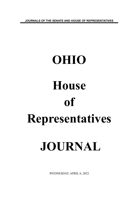**JOURNALS OF THE SENATE AND HOUSE OF REPRESENTATIVES**

# **OHIO House of Representatives JOURNAL**

WEDNESDAY, APRIL 6, 2022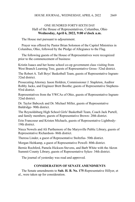# ONE HUNDRED FORTY-SIXTH DAY Hall of the House of Representatives, Columbus, Ohio **Wednesday, April 6, 2022, 9:00 o'clock a.m.**

The House met pursuant to adjournment.

Prayer was offered by Pastor Brian Solomon of the Capitol Ministries in Columbus, Ohio, followed by the Pledge of Allegiance to the Flag.

The following guests of the House of Representatives were recognized prior to the commencement of business:

Kristin Isaacs and her home school co-op government class visiting from West Branch Learning Tree, guests of Representative Gross- 52nd district.

The Robert A. Taft Boys' Basketball Team, guests of Representative Ingram-32nd district.

Prosecuting Attorney Jason Holdren, Commissioner J. Stapleton, Auditor Robby Jacks, and Engineer Brett Boothe; guests of Representative Stephens-93rd district.

Representatives from the YWCAs of Ohio, guests of Representative Ingram-32nd district.

Dr. Taylor Babcock and Dr. Michael Miller, guests of Representative Baldridge- 90th district.

The Reynoldsburg High School Girls' Basketball Team, Coach Jack Purtell, and family members; guests of Representative Brown- 20th district.

Erin Francoeur and Kristen Michaels, guests of Representative Lightbody-19th district.

Nieca Nowels and Ali Parthemore of the Marysville Public Library, guests of Representative Richardson- 86th district.

Theresa Linder, a guest of Representative Stoltzfus- 50th district.

Morgan Heitkamp, a guest of Representative Powell- 80th district.

Bernie Rochferd, Pamela Hickson-Stevens, and Barb White with the Akron Summit County Library, guests of Representative Sykes- 34th district.

The journal of yesterday was read and approved.

# **CONSIDERATION OF SENATE AMENDMENTS**

The Senate amendments to **Sub. H. B. No. 175**-Representative Hillyer, et al., were taken up for consideration.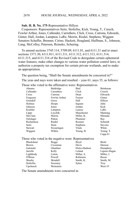## **Sub. H. B. No. 175**-Representative Hillyer.

Cosponsors: Representatives Seitz, Stoltzfus, Kick, Young, T., Creech, Fowler Arthur, Jones, Callender, Carruthers, Click, Cross, Cutrona, Edwards, Ginter, Hall, Jordan, Lampton, LaRe, Merrin, Riedel, Stephens, Wiggam Senators Schaffer, Brenner, Cirino, Hackett, Hoagland, Huffman, S., Johnson, Lang, McColley, Peterson, Reineke, Schuring.

To amend sections 3745.114, 5709.09, 6111.01, and 6111.31 and to enact sections 1571.30, 6111.011, 6111.311, 6111.312, 6111.313, 6111.314, 6111.315, and 6111.316 of the Revised Code to deregulate certain ephemeral water features, make other changes to various water pollution control laws, to authorize a property tax exemption for certain private wetlands, and to make an appropriation.

The question being, "Shall the Senate amendments be concurred in?"

The yeas and nays were taken and resulted – yeas 61, nays 35, as follows:

| Those who voted in the affirmative were: Representatives |  |
|----------------------------------------------------------|--|
|----------------------------------------------------------|--|

| Abrams     | Baldridge     | Bird            | <b>Brinkman</b>        |
|------------|---------------|-----------------|------------------------|
| Callender  | Carruthers    | Click           | Creech                 |
| Cross      | Cutrona       | Dean            | Edwards                |
| Ferguson   | Fowler Arthur | Fraizer         | Ginter                 |
| Grendell   | Gross         | Hall            | Hillyer                |
| Holmes     | Hoops         | Ingram          | John                   |
| Johnson    | Jones         | Jordan          | Kick                   |
| Koehler    | Lampton       | Lanese          | LaRe                   |
| Lipps      | Loychik       | Manchester      | Manning                |
| McClain    | Merrin        | Miller, K.      | Miranda                |
| Oelslager  | Patton        | Plummer         | Ray                    |
| Richardson | Riedel        | Roemer          | Schmidt                |
| Seitz      | <b>Stein</b>  | <b>Stephens</b> | <b>Stevens</b>         |
| Stewart    | Swearingen    | Vitale          | White                  |
| Wiggam     | Wilkin        | Young, B.       | Young, T.<br>$Cupp-61$ |
|            |               | $\mathbf{r}$    |                        |

Those who voted in the negative were: Representatives

| <b>Blackshear</b> | <b>Boggs</b> | Boyd         | <b>Brent</b> |
|-------------------|--------------|--------------|--------------|
| <b>Brown</b>      | Crossman     | Davis        | Denson       |
| Galonski          | Ghanbari     | Hicks-Hudson | Humphrey     |
| Jarrells          | Kelly        | Leland       | Lepore-Hagan |
| Lightbody         | Liston       | Miller, A.   | Miller, J.   |
| O'Brien           | Powell       | Robinson     | Russo        |
| Sheehy            | Skindell     | Smith, K.    | Smith, M.    |
| Stoltzfus         | Sweeney      | Sykes        | <b>Troy</b>  |
| Upchurch          | Weinstein    |              | West-35      |
|                   |              |              |              |

The Senate amendments were concurred in.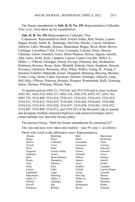The Senate amendments to **Sub. H. B. No. 291**-Representatives Callender, Troy, et al., were taken up for consideration.

#### **Sub. H. B. No. 291**-Representatives Callender, Troy.

Cosponsors: Representatives Bird, Fowler Arthur, Hall, Hoops, Lepore-Hagan, Riedel, Smith, K., Baldridge, McClain, Sheehy, Creech, Ghanbari, Johnson, LaRe, Miranda, Abrams, Blackshear, Boggs, Boyd, Brent, Brown, Carfagna, Carruthers, Click, Cross, Crossman, Cutrona, Dean, Denson, Galonski, Ginter, Grendell, Gross, Hicks-Hudson, Howse, Ingram, Jarrells, John, Jones, Kelly, Kick, Lampton, Lanese, Liston, Loychik, Miller, A., Miller, J., O'Brien, Oelslager, Patton, Pavliga, Plummer, Ray, Richardson, Robinson, Roemer, Russo, Seitz, Skindell, Sobecki, Stein, Stephens, Stewart, Sweeney, Upchurch, Weinstein, West, White, Wilkin, Young, B., Young, T. Senators Schaffer, Maharath, Kunze, Hoagland, Manning, Blessing, Brenner, Cirino, Craig, Dolan, Fedor, Gavarone, Hackett, Hottinger, Johnson, Lang, McColley, O'Brien, Peterson, Reineke, Roegner, Romanchuk, Rulli, Schuring, Sykes, Thomas, Williams, Wilson, Yuko.

To amend sections 4501.21, 5533.04, and 5533.626 and to enact sections 4503.507, 4503.516, 4503.517, 4503.518, 4503.578, 4503.597, 4503.703, 4503.755, 5534.409, 5534.414, 5534.415, 5534.416, 5534.418, 5534.419, 5534.431, 5534.432, 5534.433, 5534.603, 5534.604, 5534.605, 5534.606, 5534.816, 5534.819, 5534.828, 5534.837, 5534.838, 5534.841, 5534.872, 5534.897, 5534.899, 5534.912, and 5534.923 of the Revised Code to amend and designate multiple memorial highways and memorial bridges and to create multiple new specialty license plates.

The question being, "Shall the Senate amendments be concurred in?"

The yeas and nays were taken and resulted – yeas 95, nays 1, as follows:

Those who voted in the affirmative were: Representatives

|              | $\ddotsc$ of $\ddotsc$ and $\ddotsc$ $\ddotsc$ $\ddotsc$ $\ddotsc$ $\ddotsc$ $\ddotsc$ $\ddotsc$ |            |                 |
|--------------|--------------------------------------------------------------------------------------------------|------------|-----------------|
| Abrams       | Baldridge                                                                                        | Bird       | Blackshear      |
| <b>Boggs</b> | Boyd                                                                                             | Brent      | <b>Brinkman</b> |
| <b>Brown</b> | Callender                                                                                        | Carruthers | Click           |
| Creech       | Cross                                                                                            | Crossman   | Cutrona         |
| Davis        | Dean                                                                                             | Denson     | Edwards         |
| Ferguson     | Fowler Arthur                                                                                    | Fraizer    | Galonski        |
| Ghanbari     | Ginter                                                                                           | Grendell   | Gross           |
| Hall         | Hicks-Hudson                                                                                     | Hillyer    | Holmes          |
| Hoops        | Humphrey                                                                                         | Ingram     | Jarrells        |
| John         | Johnson                                                                                          | Jones      | Jordan          |
| Kelly        | Kick                                                                                             | Koehler    | Lampton         |
| Lanese       | LaRe                                                                                             | Leland     | Lepore-Hagan    |
| Lightbody    | Lipps                                                                                            | Liston     | Loychik         |
| Manchester   | Manning                                                                                          | McClain    | Merrin          |
| Miller, A.   | Miller, J.                                                                                       | Miller, K. | Miranda         |
| O'Brien      | Oelslager                                                                                        | Patton     | Plummer         |
| Powell       | Ray                                                                                              | Richardson | Riedel          |
| Robinson     | Roemer                                                                                           | Russo      | Schmidt         |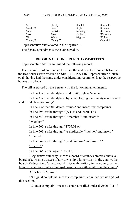| Seitz        | Sheehy    | Skindell        | Smith, K.      |
|--------------|-----------|-----------------|----------------|
| Smith, M.    | Stein     | <b>Stephens</b> | <b>Stevens</b> |
| Stewart      | Stoltzfus | Swearingen      | Sweeney        |
| <b>Sykes</b> | Troy      | Upchurch        | Weinstein      |
| West         | White     | Wiggam          | Wilkin         |
| Young, B.    | Young, T. |                 | $Cupp-95$      |

Representative Vitale voted in the negative-1.

The Senate amendments were concurred in.

# **REPORTS OF CONFERENCE COMMITTEES**

Representative Merrin submitted the following report:

The committee of conference to which the matters of difference between the two houses were referred on **Sub. H. B. No. 126**, Representative Merrin et al., having had the same under consideration, recommends to the respective houses as follows:

The bill as passed by the Senate with the following amendments:

In line 2 of the title, delete "and limit"; delete "manner"

In line 3 of the title, delete "by which local governments may contest" and insert "law governing"

In line 4 of the title, delete "values" and insert "tax complaints"

In line 496, strike through " $(A)(1)$ " and insert " $(A)$ "

In line 559, strike through ", "member"" and insert ":

"Member""

In line 560, strike through "1705.01 or"

In line 561, strike through "as applicable, "internet" and insert ".

"Internet"

In line 562, strike through ", and "interim" and insert "."

"Interim""

In line 565, after "again" insert ".

"Legislative authority" means a board of county commissioners, a board of township trustees of any township with territory in the county, the board of education of any school district with territory in the county, or the legislative authority of a municipal corporation with territory in the county"

After line 565, insert:

""Original complaint" means a complaint filed under division (A) of this section.

"Counter-complaint" means a complaint filed under division (B) of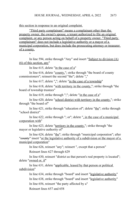this section in response to an original complaint.

"Third party complainant" means a complainant other than the property owner, the owner's spouse, a tenant authorized to file an original complaint, or any person acting on behalf of a property owner. "Third party complainant" does not include a legislative authority or a mayor of a municipal corporation, but does include the prosecuting attorney or treasurer of a county.

"

In line 594, strike through "Any" and insert "Subject to division (A) (6) of this section, any"

In line 615, delete "in the case of a"

In line 616, delete "county,"; strike through "the board of county commissioners"; reinsert the second "the"; delete ","

In line 617, delete " $\ddot{ }$ "; delete "in the case of a township"

In line 618, delete "with territory in the county,"; strike through "the board of township trustees"

In line 619, strike through ";"; delete "in the case of a"

In line 620, delete "school district with territory in the county,"; strike through "the board of"

In line 621, strike through "education of"; delete "the"; strike through "school district"

In line 622, strike through "; or"; delete ", in the case of a municipal corporation with"

In line 623, delete "territory in the county,"; strike through "the mayor or legislative authority of"

In line 624, delete "the"; strike through "municipal corporation"; after "eounty" insert "or the legislative authority of a subdivision or the mayor of a municipal corporation"

In line 626, reinsert "any"; reinsert ", except that a person"

Reinsert lines 627 through 629

In line 630, reinsert "district as that person's real property is located"; delete "owned or, if"

In line 631, delete "applicable, leased by that person or political subdivision"

> In line 634, strike through "board" and insert "legislative authority" In line 638, strike through "board" and insert "legislative authority" In line 656, reinsert "the party affected by a" Reinsert lines 657 and 658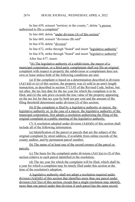In line 659, reinsert "territory in the county,"; delete "a person authorized to file a complaint"

In line 660, delete "under division (A) of this section"

In line 669, reinsert "divisions (B) and"

In line 670, delete "division"

In line 672, strike through "board" and insert "legislative authority"

In line 676, strike through "board" and insert "legislative authority"

After line 677, insert:

"(6) The legislative authority of a subdivision, the mayor of a municipal corporation, or a third party complainant shall not file an original complaint with respect to property the subdivision or complainant does not own or lease unless both of the following conditions are met:

 (a) If the complaint is based on a determination described in division  $(A)(1)(d)$  or (e) of this section, the property was (i) sold in an arm's length transaction, as described in section 5713.03 of the Revised Code, before, but not after, the tax lien date for the tax year for which the complaint is to be filed, and (ii) the sale price exceeds the true value of the property appearing on the tax list for that tax year by both ten per cent and the amount of the filing threshold determined under division (J) of this section;

 (b) If the complaint is filed by a legislative authority or mayor, the legislative authority or, in the case of a mayor, the legislative authority of the municipal corporation, first adopts a resolution authorizing the filing of the original complaint at a public meeting of the legislative authority.

(7) A resolution adopted under division  $(A)(6)(b)$  of this section shall include all of the following information:

(a) Identification of the parcel or parcels that are the subject of the original complaint by street address, if available from online records of the county auditor, and by permanent parcel number;

(b) The name of at least one of the record owners of the parcel or parcels;

(c) The basis for the complaint under divisions  $(A)(1)(a)$  to (f) of this section relative to each parcel identified in the resolution;

(d) The tax year for which the complaint will be filed, which shall be a year for which a complaint may be timely filed under this section at the time of the resolution's adoption.

A legislative authority shall not adopt a resolution required under division (A)(6)(b) of this section that identifies more than one parcel under division  $(A)(7)(a)$  of this section, except that a single resolution may identify more than one parcel under that division if each parcel has the same record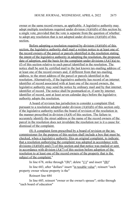owner or the same record owners, as applicable. A legislative authority may adopt multiple resolutions required under division  $(A)(6)(b)$  of this section by a single vote, provided that the vote is separate from the question of whether to adopt any resolution that is not adopted under division  $(A)(6)(b)$  of this section.

Before adopting a resolution required by division  $(A)(6)(b)$  of this section, the legislative authority shall mail a written notice to at least one of the record owners of the parcel or parcels identified in the resolution stating the intent of the legislative authority in adopting the resolution, the proposed date of adoption, and the basis for the complaint under divisions  $(A)(1)(a)$  to (f) of this section relative to each parcel identified in the resolution. The notice shall be sent by certified mail to the last known tax-mailing address of at least one of the record owners and, if different from that tax-mailing address, to the street address of the parcel or parcels identified in the resolution. Alternatively, if the legislative authority has record of an internet identifier of record associated with at least one of the record owners, the legislative authority may send the notice by ordinary mail and by that internet identifier of record. The notice shall be postmarked or, if sent by internet identifier of record, sent at least seven calendar days before the legislative authority adopts the resolution.

A board of revision has jurisdiction to consider a complaint filed pursuant to a resolution adopted under division (A)(6)(b) of this section only if the legislative authority notifies the board of revision of the resolution in the manner prescribed in division  $(A)(8)$  of this section. The failure to accurately identify the street address or the name of the record owners of the parcel in the resolution does not invalidate the resolution nor is it a cause for dismissal of the complaint.

(8) A complaint form prescribed by a board of revision or the tax commissioner for the purpose of this section shall include a box that must be checked, when a legislative authority files an original complaint, to indicate that a resolution authorizing the complaint was adopted in accordance with divisions (A)(6)(b) and (7) of this section and that notice was mailed or sent in accordance with division  $(A)(7)$  of this section before adoption of the resolution to at least one of the record owners of the property that is the subject of the complaint."

In line 678, strike through "(B)"; delete " $(1)$ " and insert " $(B)$ "

In line 683, after "dollars" insert "in taxable value"; reinsert "each property owner whose property is the"

Reinsert line 684

In line 685, reinsert "owner or the owner's spouse"; strike through "each board of education"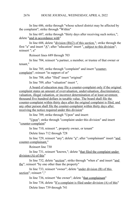#### HOUSE JOURNAL, WEDNESDAY, APRIL 6, 2022 2676

In line 686, strike through "whose school district may be affected by the complaint"; strike through "Within"

In line 687, strike through "thirty days after receiving such notice,"; delete "and in accordance with"

In line 688, delete "division  $(B)(2)$  of this section,"; strike through the first "a" and insert "A"; after "education" insert ", subject to this division"; reinsert "; a"

Reinsert lines 689 through 703

In line 704, reinsert "a partner, a member, or trustee of that owner or tenant,"

In line 705, strike through "complaint" and insert "countercomplaint"; reinsert "in support of or"

In line 708, after "filed" insert "original"

In line 709, after "valuation" insert ".

A board of education may file a counter-complaint only if the original complaint states an amount of overvaluation, undervaluation, discriminatory valuation, illegal valuation, or incorrect determination of at least seventeen thousand five hundred dollars in taxable value. The board shall file the counter-complaint within thirty days after the original complaint is filed, and any other person shall file the counter-complaint within thirty days after receiving the notice required under this division"

In line 709, strike through "Upon" and insert:

"Upon"; strike through "complaint under this division" and insert "counter-complaint"

In line 710, reinsert ", property owner, or tenant"

Delete lines 712 through 728

In line 729, reinsert "any"; delete "a"; after "complainant" insert "and counter-complainant,"

Reinsert line 730

In line 731, reinsert "known,"; delete "that filed the complaint under division (A) of this"

In line 732, delete "section"; strike through "when a" and insert "and the"; reinsert "by one other than the property"

In line 733, reinsert "owner"; delete "under division (B) of this section"; reinsert ","

In line 736, reinsert "the owner"; delete "that complainant"

In line 738, delete "If a complaint is filed under division (A) of this"

Delete lines 739 through 741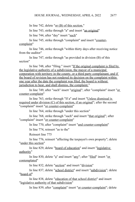In line 742, delete "or (B) of this section."

In line 743, strike through "a" and insert "an original"

In line 744, after "day" insert "such"

In line 745, strike through "complaint" and insert "countercomplaint"

In line 746, strike through "within thirty days after receiving notice from the auditor"

In line 747, strike through "as provided in division (B) of this section"

In line 748, after "filing." insert "If the original complaint is filed by the legislative authority of a subdivision, the mayor of a municipal corporation with territory in the county, or a third party complainant, and if the board of revision has not rendered its decision on the complaint within one year after the date the complaint was filed, the board is without jurisdiction to hear, and shall dismiss, the complaint."

In line 749, after "such" insert "original"; after "complaint" insert "or counter-complaint"

In line 763, strike through "If a" and insert "Unless dismissal is required under division (C) of this section, if an original"; after the second "complaint" insert "or counter-complaint"

In line 764, strike through "under this section"

In line 768, strike through "such" and insert "that original"; after "complaint" insert "or counter-complaint"

In line 770, after "complaint" insert "and counter-complaint"

In line 774, reinsert "as to the"

Reinsert line 775

In line 776, reinsert "affecting the taxpayer's own property"; delete "under this section"

In line 829, delete "board of education" and insert "legislative authority"

In line 830, delete "a" and insert "any"; after "filed" insert "or contemplated"

In line 832, delete "section" and insert "division"

In line 837, delete "school district" and insert "subdivision"; delete "board of"

In line 838, delete "education of that school district" and insert "legislative authority of that subdivision"

In line 839, after "complaint" insert "or counter-complaint"; delete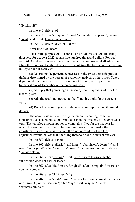"division (B)"

In line 840, delete "of"

In line 841, after "complaint" insert "or counter-complaint"; delete "board" and insert "legislative authority"

In line 842, delete "division (B) of"

After line 850, insert:

"(J) For the purpose of division  $(A)(6)(b)$  of this section, the filing threshold for tax year 2022 equals five hundred thousand dollars. For tax year 2023 and each tax year thereafter, the tax commissioner shall adjust the filing threshold used in that division by completing the following calculations in September of each year:

(a) Determine the percentage increase in the gross domestic product deflator determined by the bureau of economic analysis of the United States department of commerce from the first day of January of the preceding year to the last day of December of the preceding year;

(b) Multiply that percentage increase by the filing threshold for the current year;

(c) Add the resulting product to the filing threshold for the current year;

(d) Round the resulting sum to the nearest multiple of one thousand dollars.

The commissioner shall certify the amount resulting from the adjustment to each county auditor not later than the first day of October each year. The certified amount applies to complaints filed for the tax year in which the amount is certified. The commissioner shall not make the adjustment for any tax year in which the amount resulting from the adjustment would be less than the filing threshold for the current tax year."

In line 859, delete "school"

In line 860, delete "district" and insert "subdivision"; delete "a" and insert "an original"; after "complaint" insert "or counter-complaint"; delete "division (B) of"

In line 861, after "section" insert "with respect to property the subdivision does not own or lease"

In line 862, after "that" insert "original"; after "complaint" insert "or counter-complaint"

In line 908, after "**3.**" insert "(A)"

In line 909, after "Code" insert ", except for the enactment by this act of division (I) of that section,"; after "any" insert "original"; delete "counterclaim to a"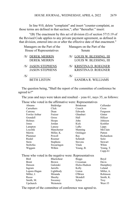In line 910, delete "complaint" and insert "counter-complaint, as those terms are defined in that section,"; after "thereafter." insert:

"(B) The enactment by this act of division (I) of section 5715.19 of the Revised Code applies to any private payment agreement, as defined in that division, entered into on or after the effective date of that enactment."

| Managers on the Part of the | Managers on the Part of the |
|-----------------------------|-----------------------------|
| House of Representatives    | Senate                      |
| /S/ DEREK MERRIN            | /S/ LOUIS W. BLESSING, III  |
| <b>DEREK MERRIN</b>         | LOUIS W. BLESSING, III      |
| /S/ JASON STEPHENS          | /S/ KRISTINA D. ROEGNER     |
| <b>JASON STEPHENS</b>       | KRISTINA D. ROEGNER         |
| /S/                         | /S/                         |
| <b>BETH LISTON</b>          | <b>SANDRA R. WILLIAMS</b>   |

The question being, "Shall the report of the committee of conference be agreed to?"

The yeas and nays were taken and resulted – yeas 61, nays 35, as follows:

Those who voted in the affirmative were: Representatives

| Abrams        | Baldridge       | <b>Brinkman</b> | Callender  |
|---------------|-----------------|-----------------|------------|
| Carruthers    | Click           | Creech          | Cross      |
| Cutrona       | Dean            | Edwards         | Ferguson   |
| Fowler Arthur | Fraizer         | Ghanbari        | Ginter     |
| Grendell      | Gross           | Hall            | Hillyer    |
| Holmes        | Hoops           | John            | Johnson    |
| Jones         | Jordan          | Kick            | Koehler    |
| Lampton       | Lanese          | LaRe            | Lipps      |
| Loychik       | Manchester      | Manning         | McClain    |
| Merrin        | Miller, K.      | Oelslager       | Patton     |
| Plummer       | Powell          | Ray             | Richardson |
| Riedel        | Roemer          | Schmidt         | Seitz      |
| Stein         | <b>Stephens</b> | <b>Stevens</b>  | Stewart    |
| Stoltzfus     | Swearingen      | Vitale          | White      |
| Wiggam        | Wilkin          | Young, B.       | Young, T.  |
|               |                 |                 | $Cupp-61$  |

Those who voted in the negative were: Representatives

| Bird         | <b>Blackshear</b> | <b>Boggs</b> | Boyd        |
|--------------|-------------------|--------------|-------------|
| <b>Brent</b> | <b>Brown</b>      | Crossman     | Davis       |
| Denson       | Galonski          | Hicks-Hudson | Humphrey    |
| Ingram       | Jarrells          | Kelly        | Leland      |
| Lepore-Hagan | Lightbody         | Liston       | Miller, A.  |
| Miller, J.   | Miranda           | O'Brien      | Robinson    |
| Russo        | Sheehy            | Skindell     | Smith, K.   |
| Smith, M.    | Sweeney           | Sykes        | <b>Troy</b> |
| Upchurch     | Weinstein         |              | West-35     |

The report of the committee of conference was agreed to.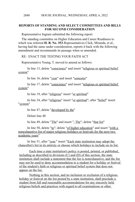# **REPORTS OF STANDING AND SELECT COMMITTEES AND BILLS FOR SECOND CONSIDERATION**

Representative Ingram submitted the following report:

The standing committee on Higher Education and Career Readiness to which was referred **H. B. No. 353**-Representatives Click, Miranda, et al., having had the same under consideration, reports it back with the following amendment and recommends its passage when so amended.

RE: ENACT THE TESTING YOUR FAITH ACT

Representative Young, T. moved to amend as follows:

In line 13, delete "conscience" and insert "religious or spiritual belief system"

In line 16, delete "year" and insert "semester"

In line 17, delete "conscience" and insert "religious or spiritual belief system"

In line 19, after "religious" insert "or spiritual"

In line 34, after "religious" insert "or spiritual"; after "belief" insert "system"

In line 47, delete "developed by the"

Delete line 48

In line 49, delete "The" and insert ". The"; delete "that list"

In line 50, delete " $\text{to}$ "; delete " $\text{of higher education}$ " and insert "with a nonexhaustive list of major religious holidays or festivals for the next two academic years"

In line 51, after "year." insert "Each state institution may adopt the chancellor's list in its entirety or choose which holidays to include on its list.

Each time a state institution's policy is posted, printed, or published, including as described in divisions  $(C)$  and  $(D)$  of this section, the state institution shall include a statement that the list is nonexhaustive, and the list may not be used to deny accommodation to a student for a holiday or festival of the student's faith or religious or spiritual belief system that does not appear on the list.

Nothing in this section, and no inclusion or exclusion of a religious holiday or festival on the list posted by a state institution, shall preclude a student from full and reasonable accommodations for any sincerely held religious beliefs and practices with regard to all examinations or other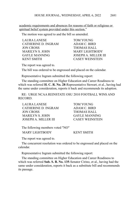academic requirements and absences for reasons of faith or religious or spiritual belief system provided under this section."

The motion was agreed to and the bill so amended.

| LAURA LANESE        | <b>TOM YOUNG</b>            |
|---------------------|-----------------------------|
| CATHERINE D. INGRAM | ADAM C. BIRD                |
| JON CROSS           | <b>THOMAS HALL</b>          |
| MARILYN S. JOHN     | <b>MARY LIGHTBODY</b>       |
| GAYLE MANNING       | <b>JOSEPH A. MILLER III</b> |
| <b>KENT SMITH</b>   | <b>CASEY WEINSTEIN</b>      |

The report was agreed to.

The bill was ordered to be engrossed and placed on the calendar.

Representative Ingram submitted the following report:

The standing committee on Higher Education and Career Readiness to which was referred **H. C. R. No. 28**-Representative Stewart, et al., having had the same under consideration, reports it back and recommends its adoption.

RE: URGE NCAA REINSTATE OSU 2010 FOOTBALL WINS AND RECORD.

| LAURA LANESE         | <b>TOM YOUNG</b>       |
|----------------------|------------------------|
| CATHERINE D. INGRAM  | ADAM C. BIRD           |
| JON CROSS            | THOMAS HALL            |
| MARILYN S. JOHN      | <b>GAYLE MANNING</b>   |
| JOSEPH A. MILLER III | <b>CASEY WEINSTEIN</b> |

| The following members voted "NO" |                   |
|----------------------------------|-------------------|
| <b>MARY LIGHTBODY</b>            | <b>KENT SMITH</b> |

The report was agreed to.

The concurrent resolution was ordered to be engrossed and placed on the calendar.

Representative Ingram submitted the following report:

The standing committee on Higher Education and Career Readiness to which was referred **Sub. S. B. No. 135**-Senator Cirino, et al., having had the same under consideration, reports it back as a substitute bill and recommends its passage.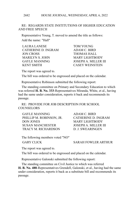#### HOUSE JOURNAL, WEDNESDAY, APRIL 6, 2022 2682

# RE: REGARDS STATE INSTITUTIONS OF HIGHER EDUCATION AND FREE SPEECH

Representative Young, T. moved to amend the title as follows: Add the name: "Hall"

| <b>TOM YOUNG</b>       |
|------------------------|
| ADAM C. BIRD           |
| THOMAS HALL            |
| <b>MARY LIGHTBODY</b>  |
| JOSEPH A. MILLER III   |
| <b>CASEY WEINSTEIN</b> |
|                        |

The report was agreed to.

The bill was ordered to be engrossed and placed on the calendar.

Representative Robinson submitted the following report:

The standing committee on Primary and Secondary Education to which was referred **H. B. No. 333**-Representatives Miranda, White, et al., having had the same under consideration, reports it back and recommends its passage.

RE: PROVIDE FOR JOB DESCRIPTION FOR SCHOOL **COUNSELORS** 

GAYLE MANNING ADAM C. BIRD PHILLIP M. ROBINSON, JR. CATHERINE D. INGRAM DON JONES MARY LIGHTBODY SUSAN MANCHESTER JOSEPH A. MILLER III TRACY M. RICHARDSON D. J. SWEARINGEN

The following members voted "NO"

GARY CLICK SARAH FOWLER ARTHUR

The report was agreed to.

The bill was ordered to be engrossed and placed on the calendar.

Representative Galonski submitted the following report:

The standing committee on Civil Justice to which was referred **H. B. No. 488**-Representatives Grendell, Galonski, et al., having had the same under consideration, reports it back as a substitute bill and recommends its passage.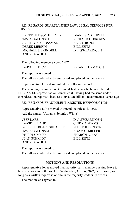# RE: REGARDS GUARDIANSHIP LAW; LEGAL SERVICES FOR **JUDGES**

BRETT HUDSON HILLYER DIANE V. GRENDELL TAVIA GALONSKI RICHARD D. BROWN JEFFREY A. CROSSMAN AL CUTRONA DEREK MERRIN BILL SEITZ MICHAEL J. SKINDELL D. J. SWEARINGEN ANDREA WHITE

The following members voted "NO"

DARRELL KICK BRIAN E. LAMPTON

The report was agreed to.

The bill was ordered to be engrossed and placed on the calendar.

Representative Leland submitted the following report:

The standing committee on Criminal Justice to which was referred **H. B. No. 64**-Representative Powell, et al., having had the same under consideration, reports it back as a substitute bill and recommends its passage.

RE: REGARDS FRAUDULENT ASSISTED REPRODUCTION

Representative LaRe moved to amend the title as follows:

Add the names: "Abrams, Schmidt, White"

JEFF LARE D. J. SWEARINGEN DAVID LELAND CINDY ABRAMS WILLIS E. BLACKSHEAR, JR. SEDRICK DENSON TAVIA GALONSKI ADAM C. MILLER PHIL PLUMMER SHARON A. RAY JEAN SCHMIDT BILL SEITZ ANDREA WHITE

The report was agreed to.

The bill was ordered to be engrossed and placed on the calendar.

# **MOTIONS AND RESOLUTIONS**

Representative Jones moved that majority party members asking leave to be absent or absent the week of Wednesday, April 6, 2022, be excused, so long as a written request is on file in the majority leadership offices.

The motion was agreed to.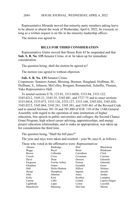Representative Miranda moved that minority party members asking leave to be absent or absent the week of Wednesday, April 6, 2022, be excused, so long as a written request is on file in the minority leadership offices.

The motion was agreed to.

## **BILLS FOR THIRD CONSIDERATION**

Representative Ginter moved that House Rule 65 be suspended and that **Sub. S. B. No. 135**-Senator Cirino, et al. be taken up for immediate consideration.

The question being, shall the motion be agreed to?

The motion was agreed to without objection.

# **Sub. S. B. No. 135**-Senator Cirino.

Cosponsors: Senators Antani, Blessing, Brenner, Hoagland, Huffman, M., Huffman, S., Johnson, McColley, Roegner, Romanchuk, Schaffer, Thomas, Yuko Representative Hall.

To amend sections 9.76, 123.01, 3313.6020, 3333.04, 3333.122, 3345.0212, 3345.21, 3345.35, 3345.481, and 5727.75 and to enact sections 3333.0418, 3333.073, 3333.126, 3333.127, 3333.168, 3345.024, 3345.028, 3345.0215, 3345.064, 3345.241, 3345.381, and 3345.461 of the Revised Code and to amend Sections 381.10 and 381.480 of H.B. 110 of the 134th General Assembly with regard to the operation of state institutions of higher education, free speech in public universities and colleges, the Second Chance Grant Program, high school career advising, apprenticeships, and energy project education relationships, and to make an appropriation, was taken up for consideration the third time.

The question being, "Shall the bill pass?"

The yeas and nays were taken and resulted – yeas 96, nays 0, as follows:

Those who voted in the affirmative were: Representatives

| Abrams       | Baldridge     | Bird       | Blackshear      |
|--------------|---------------|------------|-----------------|
| <b>Boggs</b> | Boyd          | Brent      | <b>Brinkman</b> |
| <b>Brown</b> | Callender     | Carruthers | Click           |
| Creech       | Cross         | Crossman   | Cutrona         |
| Davis        | Dean          | Denson     | Edwards         |
| Ferguson     | Fowler Arthur | Fraizer    | Galonski        |
| Ghanbari     | Ginter        | Grendell   | Gross           |
| Hall         | Hicks-Hudson  | Hillyer    | Holmes          |
| Hoops        | Humphrey      | Ingram     | Jarrells        |
| John         | Johnson       | Jones      | Jordan          |
| Kelly        | Kick          | Koehler    | Lampton         |
| Lanese       | LaRe          | Leland     | Lepore-Hagan    |
| Lightbody    | Lipps         | Liston     | Loychik         |
| Manchester   | Manning       | McClain    | Merrin          |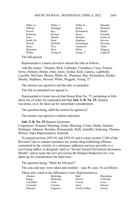| Miller, A.     | Miller, J. | Miller, K.      | Miranda        |
|----------------|------------|-----------------|----------------|
| O'Brien        | Oelslager  | Patton          | Plummer        |
| Powell         | Ray        | Richardson      | Riedel         |
| Robinson       | Roemer     | Russo           | Schmidt        |
| Seitz          | Sheehy     | Skindell        | Smith, K.      |
| Smith, M.      | Stein      | <b>Stephens</b> | <b>Stevens</b> |
| <b>Stewart</b> | Stoltzfus  | Swearingen      | Sweeney        |
| <b>Sykes</b>   | Troy       | Upchurch        | Vitale         |
| Weinstein      | West       | White           | Wiggam         |
| Wilkin         | Young, B.  | Young, T.       | $Cupp-96$      |

The bill passed.

Representative Lanese moved to amend the title as follows:

Add the names: "Abrams, Bird, Callender, Carruthers, Cross, Fraizer, Gross, Holmes, Hoops, John, Jones, Jordan, Kick, Lanese, Lightbody, Loychik, McClain, Merrin, Miller, K., Plummer, Ray, Richardson, Riedel, Sheehy, Stephens, Stevens, White, Wiggam, Young, T."

The motion was agreed to and the title so amended.

The title as amended was agreed to.

Representative Ginter moved that House Rule No. 75, pertaining to bills taken out of order, be suspended and that **Sub. S. B. No. 25-** Senator Gavarone, et al. be taken up for immediate consideration.

The question being, shall the motion be agreed to?

The motion was agreed to without objection.

**Sub. S. B. No. 25**-Senator Gavarone.

Cosponsors: Senators Manning, Fedor, Blessing, Cirino, Dolan, Hackett, Hottinger, Johnson, Reineke, Romanchuk, Rulli, Schaffer, Schuring, Thomas, Wilson, Yuko Representative Schmidt.

To amend sections 2925.01 and 2925.03 and to enact section 5.248 of the Revised Code to enhance penalties for certain drug trafficking offenses committed in the vicinity of a substance addiction services provider or a recovering addict, to designate April as "Sexual Assault Prevention Awareness Month," and to name the act's provisions the Relapse Reduction Act, was taken up for consideration the third time.

The question being, "Shall the bill pass?"

The yeas and nays were taken and resulted – yeas 86, nays 10, as follows:

Those who voted in the affirmative were: Representatives

| Baldridge       | Bird          | Blackshear |
|-----------------|---------------|------------|
| <b>Brinkman</b> | <b>Brown</b>  | Callender  |
| Click           | Creech        | Cross      |
| Cutrona         | Dean          | Denson     |
| Ferguson        | Fowler Arthur | Fraizer    |
|                 |               |            |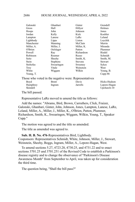| Galonski                                              | Ghanbari   | Ginter         | Grendell       |
|-------------------------------------------------------|------------|----------------|----------------|
| Gross                                                 | Hall       | Hillyer        | Holmes         |
| Hoops                                                 | John       | Johnson        | Jones          |
| Jordan                                                | Kelly      | Kick           | Koehler        |
| Lampton                                               | Lanese     | LaRe           | Leland         |
| Lightbody                                             | Lipps      | Liston         | Loychik        |
| Manchester                                            | Manning    | McClain        | Merrin         |
| Miller, A.                                            | Miller, J. | Miller, K.     | Miranda        |
| O'Brien                                               | Oelslager  | Patton         | Plummer        |
| Powell                                                | Ray        | Richardson     | Riedel         |
| Robinson                                              | Roemer     | Russo          | Schmidt        |
| Seitz                                                 | Sheehy     | Smith, K.      | Smith, M.      |
| Stein                                                 | Stephens   | <b>Stevens</b> | <b>Stewart</b> |
| Stoltzfus                                             | Swearingen | Sweeney        | <b>Sykes</b>   |
| Troy                                                  | Vitale     | Weinstein      | West           |
| White                                                 | Wiggam     | Wilkin         | Young, B.      |
| Young, T.                                             |            |                | $Cupp-86$      |
| Those who voted in the negative were: Representatives |            |                |                |
| Boyd                                                  | Brent      | Davis          | Hicks-Hudson   |
| Humphrey                                              | Ingram     | Jarrells       | Lepore-Hagan   |
| Skindell                                              |            |                | Upchurch- $10$ |
| The hill nassed                                       |            |                |                |

The bill passed.

Representative LaRe moved to amend the title as follows:

Add the names: "Abrams, Bird, Brown, Carruthers, Click, Fraizer, Galonski, Ghanbari, Ginter, John, Johnson, Jones, Lampton, Lanese, LaRe, Leland, Miller, A., Miller, J., Miller, K., O'Brien, Patton, Plummer, Richardson, Smith, K., Swearingen, Wiggam, Wilkin, Young, T., Speaker Cupp."

The motion was agreed to and the title so amended.

The title as amended was agreed to.

**Sub. H. B. No. 476**-Representatives Bird, Lightbody. Cosponsors: Representatives Schmidt, White, Johnson, Miller, J., Stewart, Weinstein, Sheehy, Boggs, Ingram, Miller, A., Lepore-Hagan, West.

To amend sections 5.27, 4723.28, 4730.25, and 4731.22 and to enact sections 3701.25 and 3701.251 of the Revised Code to establish a Parkinson's disease registry and to change the observance of "Parkinson's Disease Awareness Month" from September to April, was taken up for consideration the third time.

The question being, "Shall the bill pass?"

2686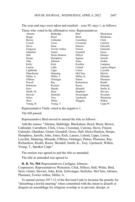| Those who voted in the affirmative were: Representatives |               |                 |                 |
|----------------------------------------------------------|---------------|-----------------|-----------------|
| <b>A</b> brams                                           | Baldridge     | Bird            | Blackshear      |
| <b>Boggs</b>                                             | Boyd          | <b>Brent</b>    | <b>Brinkman</b> |
| <b>Brown</b>                                             | Callender     | Carruthers      | Click           |
| Creech                                                   | Cross         | Crossman        | Cutrona         |
| Davis                                                    | Dean          | Denson          | Edwards         |
| Ferguson                                                 | Fowler Arthur | Fraizer         | Galonski        |
| Ghanbari                                                 | Ginter        | Grendell        | Gross           |
| Hall                                                     | Hicks-Hudson  | Hillyer         | <b>Holmes</b>   |
| Hoops                                                    | Humphrey      | Ingram          | Jarrells        |
| John                                                     | Johnson       | Jones           | Jordan          |
| Kelly                                                    | Kick          | Koehler         | Lampton         |
| Lanese                                                   | LaRe          | Leland          | Lepore-Hagan    |
| Lightbody                                                | Lipps         | Liston          | Loychik         |
| Manchester                                               | Manning       | McClain         | Merrin          |
| Miller, A.                                               | Miller, J.    | Miller, K.      | Miranda         |
| O'Brien                                                  | Oelslager     | Patton          | Plummer         |
| Powell                                                   | Ray           | Richardson      | Riedel          |
| Robinson                                                 | Roemer        | Russo           | Schmidt         |
| <b>Seitz</b>                                             | Sheehy        | Skindell        | Smith, K.       |
| Smith, M.                                                | Stein         | <b>Stephens</b> | <b>Stevens</b>  |
| <b>Stewart</b>                                           | Stoltzfus     | Swearingen      | Sweeney         |
| Sykes                                                    | Troy          | Upchurch        | Weinstein       |
| West                                                     | White         | Wiggam          | Wilkin          |
| Young, B.                                                | Young, T.     |                 | $Cupp-95$       |

The yeas and nays were taken and resulted – yeas 95, nays 1, as follows:

Representative Vitale voted in the negative-1.

The bill passed.

Representative Bird moved to amend the title as follows:

Add the names: "Abrams, Baldridge, Blackshear, Boyd, Brent, Brown, Callender, Carruthers, Click, Cross, Crossman, Cutrona, Davis, Fraizer, Galonski, Ghanbari, Ginter, Grendell, Gross, Hall, Hicks-Hudson, Hoops, Humphrey, Jarrells, John, Jones, Kick, Lanese, Leland, Lipps, Liston, Loychik, Manning, Miranda, O'Brien, Oelslager, Patton, Plummer, Ray, Richardson, Riedel, Russo, Skindell, Smith, K., Troy, Upchurch, Wilkin, Young, T., Speaker Cupp."

The motion was agreed to and the title so amended.

The title as amended was agreed to.

**H. B. No. 504**-Representatives Carfagna, Johnson. Cosponsors: Representatives Weinstein, Click, Hillyer, Hall, White, Bird, Seitz, Ginter, Stewart, John, Kick, Zeltwanger, Stoltzfus, McClain, Abrams, Plummer, Fowler Arthur, Miller, A.

To amend section 2917.12 of the Revised Code to increase the penalty for "disturbing a lawful meeting" when committed with the intent to disturb or disquiet an assemblage for religious worship or to prevent, disrupt, or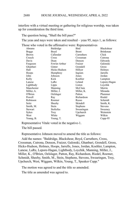#### HOUSE JOURNAL, WEDNESDAY, APRIL 6, 2022 2688

interfere with a virtual meeting or gathering for religious worship, was taken up for consideration the third time.

The question being, "Shall the bill pass?"

The yeas and nays were taken and resulted – yeas 95, nays 1, as follows:

Those who voted in the affirmative were: Representatives

| Abrams       | Baldridge     | Bird            | Blackshear      |
|--------------|---------------|-----------------|-----------------|
| <b>Boggs</b> | Boyd          | Brent           | <b>Brinkman</b> |
| <b>Brown</b> | Callender     | Carruthers      | Click           |
| Creech       | Cross         | Crossman        | Cutrona         |
| Davis        | Dean          | Denson          | Edwards         |
| Ferguson     | Fowler Arthur | Fraizer         | Galonski        |
| Ghanbari     | Ginter        | Grendell        | Gross           |
| Hall         | Hicks-Hudson  | Hillyer         | Holmes          |
| Hoops        | Humphrey      | Ingram          | Jarrells        |
| John         | Johnson       | Jones           | Jordan          |
| Kelly        | Kick          | Koehler         | Lampton         |
| Lanese       | LaRe          | Leland          | Lepore-Hagan    |
| Lightbody    | Lipps         | Liston          | Loychik         |
| Manchester   | Manning       | McClain         | Merrin          |
| Miller, A.   | Miller, J.    | Miller, K.      | Miranda         |
| O'Brien      | Oelslager     | Patton          | Plummer         |
| Powell       | Ray           | Richardson      | Riedel          |
| Robinson     | Roemer        | Russo           | Schmidt         |
| Seitz        | Sheehy        | Skindell        | Smith, K.       |
| Smith, M.    | Stein         | <b>Stephens</b> | <b>Stevens</b>  |
| Stewart      | Stoltzfus     | Swearingen      | Sweeney         |
| Sykes        | Troy          | Upchurch        | Weinstein       |
| West         | White         | Wiggam          | Wilkin          |
| Young, B.    | Young, T.     |                 | $Cupp-95$       |

Representative Vitale voted in the negative-1.

The bill passed.

Representative Johnson moved to amend the title as follows:

Add the names: "Baldridge, Blackshear, Boyd, Carruthers, Cross, Crossman, Cutrona, Denson, Fraizer, Galonski, Ghanbari, Grendell, Gross, Hicks-Hudson, Holmes, Hoops, Jarrells, Jones, Jordan, Koehler, Lampton, Lanese, LaRe, Lepore-Hagan, Lightbody, Loychik, Manning, Miller, J., Miller, K., O'Brien, Oelslager, Patton, Ray, Richardson, Riedel, Roemer, Schmidt, Sheehy, Smith, M., Stein, Stephens, Stevens, Swearingen, Troy, Upchurch, West, Wiggam, Wilkin, Young, T., Speaker Cupp."

The motion was agreed to and the title so amended.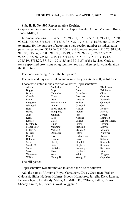**Sub. H. B. No. 507**-Representative Koehler.

Cosponsors: Representatives Stoltzfus, Lipps, Fowler Arthur, Manning, Brent, Jones, Miller, J.

To amend sections 913.04, 913.28, 915.01, 915.03, 915.14, 915.18, 915.20, 925.21, 925.62, 3715.041, 3715.07, 3715.27, 3715.33, 3715.36, and 3715.99; to amend, for the purpose of adopting a new section number as indicated in parentheses, section 3715.36 (3715.34); and to repeal sections 913.27, 915.04, 915.05, 915.06, 915.07, 915.08, 915.19, 915.21, 925.26, 925.27, 925.28, 925.52, 925.56, 925.61, 3715.14, 3715.15, 3715.16, 3715.17, 3715.18, 3715.19, 3715.20, 3715.34, 3715.35, and 3715.37 of the Revised Code to revise specified provisions of agriculture law, was taken up for consideration the third time.

The question being, "Shall the bill pass?"

The yeas and nays were taken and resulted – yeas 96, nays 0, as follows:

Those who voted in the affirmative were: Representatives

| Abrams     | Baldridge     | Bird            | Blackshear      |
|------------|---------------|-----------------|-----------------|
| Boggs      | Boyd          | Brent           | <b>Brinkman</b> |
| Brown      | Callender     | Carruthers      | Click           |
| Creech     | Cross         | Crossman        | Cutrona         |
| Davis      | Dean          | Denson          | Edwards         |
| Ferguson   | Fowler Arthur | Fraizer         | Galonski        |
| Ghanbari   | Ginter        | Grendell        | Gross           |
| Hall       | Hicks-Hudson  | Hillyer         | Holmes          |
| Hoops      | Humphrey      | Ingram          | Jarrells        |
| John       | Johnson       | Jones           | Jordan          |
| Kelly      | Kick          | Koehler         | Lampton         |
| Lanese     | LaRe          | Leland          | Lepore-Hagan    |
| Lightbody  | Lipps         | Liston          | Loychik         |
| Manchester | Manning       | McClain         | Merrin          |
| Miller, A. | Miller, J.    | Miller, K.      | Miranda         |
| O'Brien    | Oelslager     | Patton          | Plummer         |
| Powell     | Ray           | Richardson      | Riedel          |
| Robinson   | Roemer        | Russo           | Schmidt         |
| Seitz      | Sheehy        | Skindell        | Smith, K.       |
| Smith, M.  | Stein         | <b>Stephens</b> | <b>Stevens</b>  |
| Stewart    | Stoltzfus     | Swearingen      | Sweeney         |
| Sykes      | Troy          | Upchurch        | Vitale          |
| Weinstein  | West          | White           | Wiggam          |
| Wilkin     | Young, B.     | Young, T.       | Cupp-96         |

The bill passed.

Representative Koehler moved to amend the title as follows:

Add the names: "Abrams, Boyd, Carruthers, Cross, Crossman, Fraizer, Galonski, Hicks-Hudson, Holmes, Hoops, Humphrey, Jarrells, Kick, Lanese, Lepore-Hagan, Lightbody, Miller, A., Miller, K., O'Brien, Patton, Russo, Sheehy, Smith, K., Stevens, West, Wiggam."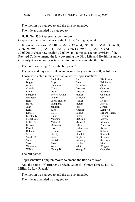The motion was agreed to and the title so amended.

The title as amended was agreed to.

**H. B. No. 530**-Representative Lampton.

Cosponsors: Representatives Seitz, Hillyer, Carfagna, White.

To amend sections 3956.01, 3956.03, 3956.04, 3956.06, 3956.07, 3956.08, 3956.09, 3956.10, 3956.11, 3956.12, 3956.13, 3956.16, 3956.18, and 3956.20; to enact new section 3956.19; and to repeal section 3956.19 of the Revised Code to amend the law governing the Ohio Life and Health Insurance Guaranty Association, was taken up for consideration the third time.

The question being, "Shall the bill pass?"

The yeas and nays were taken and resulted – yeas 96, nays 0, as follows:

Those who voted in the affirmative were: Representatives

| Abrams       | Baldridge     | Bird            | Blackshear      |
|--------------|---------------|-----------------|-----------------|
| Boggs        | Boyd          | Brent           | <b>Brinkman</b> |
| <b>Brown</b> | Callender     | Carruthers      | Click           |
| Creech       | Cross         | Crossman        | Cutrona         |
| Davis        | Dean          | Denson          | Edwards         |
| Ferguson     | Fowler Arthur | Fraizer         | Galonski        |
| Ghanbari     | Ginter        | Grendell        | Gross           |
| Hall         | Hicks-Hudson  | Hillyer         | Holmes          |
| Hoops        | Humphrey      | Ingram          | Jarrells        |
| John         | Johnson       | Jones           | Jordan          |
| Kelly        | Kick          | Koehler         | Lampton         |
| Lanese       | LaRe          | Leland          | Lepore-Hagan    |
| Lightbody    | Lipps         | Liston          | Loychik         |
| Manchester   | Manning       | McClain         | Merrin          |
| Miller, A.   | Miller, J.    | Miller, K.      | Miranda         |
| O'Brien      | Oelslager     | Patton          | Plummer         |
| Powell       | Ray           | Richardson      | Riedel          |
| Robinson     | Roemer        | Russo           | Schmidt         |
| Seitz        | Sheehy        | Skindell        | Smith, K.       |
| Smith, M.    | Stein         | <b>Stephens</b> | <b>Stevens</b>  |
| Stewart      | Stoltzfus     | Swearingen      | Sweeney         |
| Sykes        | Troy          | Upchurch        | Vitale          |
| Weinstein    | West          | White           | Wiggam          |
| Wilkin       | Young, B.     | Young, T.       | Cupp-96         |
|              |               |                 |                 |

The bill passed.

Representative Lampton moved to amend the title as follows:

Add the names: "Carruthers, Fraizer, Galonski, Ginter, Lanese, LaRe, Miller, J., Ray, Riedel."

The motion was agreed to and the title so amended.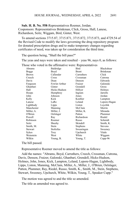**Sub. H. B. No. 558**-Representatives Roemer, Jordan. Cosponsors: Representatives Brinkman, Click, Gross, Hall, Lanese, Richardson, Seitz, Wiggam, Bird, Ginter, West.

To amend sections 3715.87, 3715.871, 3715.872, 3715.873, and 4729.54 of the Revised Code to modify the laws governing the drug repository program for donated prescription drugs and to make temporary changes regarding certificates of need, was taken up for consideration the third time.

The question being, "Shall the bill pass?"

The yeas and nays were taken and resulted – yeas 96, nays 0, as follows:

| Those who voted in the affirmative were: Representatives |
|----------------------------------------------------------|
|----------------------------------------------------------|

|              | $\ldots$      |              |                   |
|--------------|---------------|--------------|-------------------|
| Abrams       | Baldridge     | Bird         | <b>Blackshear</b> |
| Boggs        | Boyd          | <b>Brent</b> | <b>Brinkman</b>   |
| <b>Brown</b> | Callender     | Carruthers   | Click             |
| Creech       | Cross         | Crossman     | Cutrona           |
| Davis        | Dean          | Denson       | Edwards           |
| Ferguson     | Fowler Arthur | Fraizer      | Galonski          |
| Ghanbari     | Ginter        | Grendell     | Gross             |
| Hall         | Hicks-Hudson  | Hillyer      | Holmes            |
| Hoops        | Humphrey      | Ingram       | Jarrells          |
| John         | Johnson       | Jones        | Jordan            |
| Kelly        | Kick          | Koehler      | Lampton           |
| Lanese       | LaRe          | Leland       | Lepore-Hagan      |
| Lightbody    | Lipps         | Liston       | Lovchik           |
| Manchester   | Manning       | McClain      | Merrin            |
| Miller, A.   | Miller, J.    | Miller, K.   | Miranda           |
| O'Brien      | Oelslager     | Patton       | Plummer           |
| Powell       | Ray           | Richardson   | Riedel            |
| Robinson     | Roemer        | Russo        | Schmidt           |
| Seitz        | Sheehy        | Skindell     | Smith, K.         |
| Smith, M.    | Stein         | Stephens     | <b>Stevens</b>    |
| Stewart      | Stoltzfus     | Swearingen   | Sweeney           |
| Sykes        | Troy          | Upchurch     | Vitale            |
| Weinstein    | West          | White        | Wiggam            |
| Wilkin       | Young, B.     | Young, T.    | Cupp-96           |
|              |               |              |                   |

The bill passed.

Representative Roemer moved to amend the title as follows:

Add the names: "Abrams, Boyd, Carruthers, Creech, Crossman, Cutrona, Davis, Denson, Fraizer, Galonski, Ghanbari, Grendell, Hicks-Hudson, Holmes, John, Jones, Kick, Lampton, Leland, Lepore-Hagan, Lightbody, Lipps, Liston, Manning, McClain, Miller, A., Miller, J., O'Brien, Oelslager, Patton, Plummer, Ray, Riedel, Russo, Smith, K., Smith, M., Stein, Stephens, Stewart, Sweeney, Upchurch, White, Wilkin, Young, T., Speaker Cupp."

The motion was agreed to and the title so amended.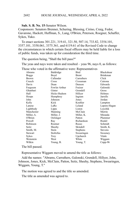#### HOUSE JOURNAL, WEDNESDAY, APRIL 6, 2022 2692

**Sub. S. B. No. 15**-Senator Wilson.

Cosponsors: Senators Brenner, Schuring, Blessing, Cirino, Craig, Fedor, Gavarone, Hackett, Huffman, S., Lang, O'Brien, Peterson, Roegner, Schaffer, Sykes, Yuko.

To enact sections 301.221, 319.41, 321.50, 507.14, 733.82, 3354.101, 3357.101, 3358.061, 3375.361, and 6119.61 of the Revised Code to change the circumstances in which certain fiscal officers may be held liable for a loss of public funds, was taken up for consideration the third time.

The question being, "Shall the bill pass?"

The yeas and nays were taken and resulted – yeas 96, nays 0, as follows:

Those who voted in the affirmative were: Representatives

| Abrams       | Baldridge     | Bird            | <b>Blackshear</b> |
|--------------|---------------|-----------------|-------------------|
| Boggs        | Boyd          | <b>Brent</b>    | <b>Brinkman</b>   |
| <b>Brown</b> | Callender     | Carruthers      | Click             |
| Creech       | Cross         | Crossman        | Cutrona           |
| Davis        | Dean          | Denson          | Edwards           |
| Ferguson     | Fowler Arthur | Fraizer         | Galonski          |
| Ghanbari     | Ginter        | Grendell        | Gross             |
| Hall         | Hicks-Hudson  | Hillyer         | Holmes            |
| Hoops        | Humphrey      | Ingram          | Jarrells          |
| John         | Johnson       | Jones           | Jordan            |
| Kelly        | Kick          | Koehler         | Lampton           |
| Lanese       | LaRe          | Leland          | Lepore-Hagan      |
| Lightbody    | Lipps         | Liston          | Loychik           |
| Manchester   | Manning       | McClain         | Merrin            |
| Miller, A.   | Miller, J.    | Miller, K.      | Miranda           |
| O'Brien      | Oelslager     | Patton          | Plummer           |
| Powell       | Ray           | Richardson      | Riedel            |
| Robinson     | Roemer        | Russo           | Schmidt           |
| Seitz        | Sheehy        | Skindell        | Smith, K.         |
| Smith, M.    | Stein         | <b>Stephens</b> | <b>Stevens</b>    |
| Stewart      | Stoltzfus     | Swearingen      | Sweeney           |
| Sykes        | Troy          | Upchurch        | Vitale            |
| Weinstein    | West          | White           | Wiggam            |
| Wilkin       | Young, B.     | Young, T.       | Cupp-96           |
|              |               |                 |                   |

The bill passed.

Representative Wiggam moved to amend the title as follows:

Add the names: "Abrams, Carruthers, Galonski, Grendell, Hillyer, John, Johnson, Jones, Kick, McClain, Patton, Seitz, Sheehy, Stephens, Swearingen, Wiggam, Young, T."

The motion was agreed to and the title so amended.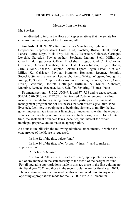### Message from the Senate

Mr. Speaker:

I am directed to inform the House of Representatives that the Senate has concurred in the passage of the following bill:

## **Am. Sub. H. B. No. 95** - Representatives Manchester, Lightbody

Cosponsors: Representatives Cross, Bird, Koehler, Russo, Brent, Riedel, Lanese, LaRe, Lipps, Kick, Troy, Miller, J., Weinstein, Galonski, Carfagna, Loychik, Stoltzfus, Fowler Arthur, Stephens, Ingram, Stein, Miller, A., Creech, Baldridge, Jones, O'Brien, Blackshear, Boggs, Boyd, Click, Crawley, Crossman, Denson, Ghanbari, Ginter, Hall, Hicks-Hudson, Hillyer, Hoops, Jarrells, John, Johnson, Lampton, Leland, Lepore-Hagan, Liston, McClain, Miller, K., Oelslager, Pavliga, Plummer, Robinson, Roemer, Schmidt, Sobecki, Stewart, Sweeney, Upchurch, West, White, Wiggam, Young, B., Young, T., Speaker Cupp Senators Antonio, Blessing, Brenner, Cirino, Craig, Dolan, Gavarone, Hackett, Hottinger, Huffman, S., Kunze, Maharath, Manning, Reineke, Roegner, Rulli, Schaffer, Schuring, Thomas, Yuko

To amend sections 4517.22, 5709.911, and 5747.98 and to enact sections 901.61, 5709.916, and 5747.77 of the Revised Code to temporarily allow income tax credits for beginning farmers who participate in a financial management program and for businesses that sell or rent agricultural land, livestock, facilities, or equipment to beginning farmers, to modify the law governing certain tax increment financing arrangements, to alter the types of vehicles that may be purchased at a motor vehicle show, permit, for a limited time, the abatement of unpaid taxes, penalties, and interest for certain municipal property, and to make an appropriation.

As a substitute bill with the following additional amendments, in which the concurrence of the House is requested.

In line 12 of the title, delete "and"

In line 14 of the title, after "property" insert ", and to make an appropriation"

After line 666, insert:

"Section 4. All items in this act are hereby appropriated as designated out of any moneys in the state treasury to the credit of the designated fund. For all operating appropriations made in this act, those in the first column are for fiscal year 2022 and those in the second column are for fiscal year 2023. The operating appropriations made in this act are in addition to any other operating appropriations made for the FY 2022-FY 2023 biennium.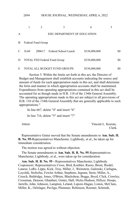|   | ムリフキ |                    | HOUSE JOURNAL, WEDNESDAT, AT RIL 0, 2022 |                |     |
|---|------|--------------------|------------------------------------------|----------------|-----|
|   | 1    | 2                  | 3                                        | $\overline{4}$ | 5   |
| A |      |                    | EDU DEPARTMENT OF EDUCATION              |                |     |
| В |      | Federal Fund Group |                                          |                |     |
| C | 3L60 | 200617             | Federal School Lunch                     | \$338,000,000  | \$0 |
| D |      |                    | <b>TOTAL FED Federal Fund Group</b>      | \$338,000,000  | \$0 |
| E |      |                    | <b>TOTAL ALL BUDGET FUND GROUPS</b>      | \$338,000,000  | \$0 |

HOUSE JOURNAL, WEDNESDAY, APRIL 6, 2022

Section 5. Within the limits set forth in this act, the Director of Budget and Management shall establish accounts indicating the source and amount of funds for each appropriation made in this act, and shall determine the form and manner in which appropriation accounts shall be maintained. Expenditures from operating appropriations contained in this act shall be accounted for as though made in H.B. 110 of the 134th General Assembly. The operating appropriations made in this act are subject to all provisions of H.B. 110 of the 134th General Assembly that are generally applicable to such appropriations."

In line 667, delete "4" and insert "6"

In line 716, delete "5" and insert "7"

 $2604$ 

Attest: Vincent L. Keeran, Clerk.

Representative Ginter moved that the Senate amendments to **Am. Sub. H. B. No. 95-**Representatives Manchester, Lightbody, et al., be taken up for immediate consideration.

The motion was agreed to without objection.

The Senate amendments to **Am. Sub. H. B. No. 95**-Representatives Manchester, Lightbody, et al., were taken up for consideration.

**Am. Sub. H. B. No. 95 -** Representatives Manchester, Lightbody. Cosponsors: Representatives Cross, Bird, Koehler, Russo, Brent, Riedel, Lanese, LaRe, Lipps, Kick, Troy, Miller, J., Weinstein, Galonski, Carfagna, Loychik, Stoltzfus, Fowler Arthur, Stephens, Ingram, Stein, Miller, A., Creech, Baldridge, Jones, O'Brien, Blackshear, Boggs, Boyd, Click, Crawley, Crossman, Denson, Ghanbari, Ginter, Hall, Hicks-Hudson, Hillyer, Hoops, Jarrells, John, Johnson, Lampton, Leland, Lepore-Hagan, Liston, McClain, Miller, K., Oelslager, Pavliga, Plummer, Robinson, Roemer, Schmidt,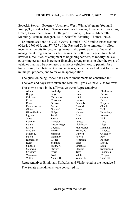Sobecki, Stewart, Sweeney, Upchurch, West, White, Wiggam, Young, B., Young, T., Speaker Cupp Senators Antonio, Blessing, Brenner, Cirino, Craig, Dolan, Gavarone, Hackett, Hottinger, Huffman, S., Kunze, Maharath, Manning, Reineke, Roegner, Rulli, Schaffer, Schuring, Thomas, Yuko.

To amend sections 4517.22, 5709.911, and 5747.98 and to enact sections 901.61, 5709.916, and 5747.77 of the Revised Code to temporarily allow income tax credits for beginning farmers who participate in a financial management program and for businesses that sell or rent agricultural land, livestock, facilities, or equipment to beginning farmers, to modify the law governing certain tax increment financing arrangements, to alter the types of vehicles that may be purchased at a motor vehicle show, to permit, for a limited time, the abatement of unpaid taxes, penalties, and interest for certain municipal property, and to make an appropriation.

The question being, "Shall the Senate amendments be concurred in?" The yeas and nays were taken and resulted – yeas 92, nays 3, as follows:

Those who voted in the affirmative were: Representatives

| Abrams          | Baldridge      | Bird       | Blackshear   |
|-----------------|----------------|------------|--------------|
| <b>Boggs</b>    | Boyd           | Brent      | <b>Brown</b> |
| Callender       | Carruthers     | Click      | Creech       |
| Cross           | Crossman       | Cutrona    | Davis        |
| Dean            | Denson         | Edwards    | Ferguson     |
| Fowler Arthur   | Fraizer        | Galonski   | Ghanbari     |
| Ginter          | Grendell       | Gross      | Hall         |
| Hicks-Hudson    | Hillyer        | Holmes     | Humphrey     |
| Ingram          | Jarrells       | John       | Johnson      |
| Jones           | Jordan         | Kelly      | Kick         |
| Koehler         | Lampton        | Lanese     | LaRe         |
| Leland          | Lepore-Hagan   | Lightbody  | Lipps        |
| Liston          | Loychik        | Manchester | Manning      |
| McClain         | Merrin         | Miller, A. | Miller, J.   |
| Miller, K.      | Miranda        | O'Brien    | Oelslager    |
| Patton          | Plummer        | Powell     | Ray          |
| Richardson      | Riedel         | Robinson   | Roemer       |
| Russo           | Schmidt        | Seitz      | Sheehy       |
| Skindell        | Smith, K.      | Smith, M.  | Stein        |
| <b>Stephens</b> | <b>Stevens</b> | Stewart    | Swearingen   |
| Sweeney         | Sykes          | Troy       | Upchurch     |
| Weinstein       | West           | White      | Wiggam       |
| Wilkin          | Young, B.      | Young, T.  | $Cupp-92$    |

Representatives Brinkman, Stoltzfus, and Vitale voted in the negative-3. The Senate amendments were concurred in.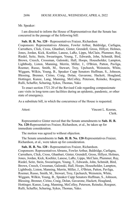#### Mr. Speaker:

I am directed to inform the House of Representatives that the Senate has concurred in the passage of the following bill:

## **Sub. H. B. No. 120** - Representatives Fraizer, Richardson

Cosponsors: Representatives Abrams, Fowler Arthur, Baldridge, Carfagna, Carruthers, Click, Cross, Ghanbari, Ginter, Grendell, Gross, Hillyer, Holmes, Jones, Jordan, Kick, Koehler, Lanese, LaRe, Lipps, McClain, Plummer, Ray, Riedel, Seitz, Stein, Swearingen, Young, T., Edwards, John, Schmidt, Bird, Brown, Creech, Crossman, Galonski, Hall, Hoops, Householder, Lampton, Lightbody, Liston, Manning, Merrin, Miller, J., O'Brien, Patton, Pavliga, Roemer, Russo, Smith, M., Stewart, Troy, Upchurch, Weinstein, White, Wiggam, Wilkin, Young, B., Speaker Cupp Senators Huffman, S., Johnson, Blessing, Brenner, Cirino, Craig, Dolan, Gavarone, Hackett, Hoagland, Hottinger, Kunze, Lang, Manning, McColley, Peterson, Reineke, Roegner, Rulli, Schaffer, Schuring, Sykes, Thomas, Yuko

To enact section 3721.20 of the Revised Code regarding compassionate care visits in long-term care facilities during an epidemic, pandemic, or other state of emergency.

As a substitute bill, in which the concurrence of the House is requested.

Attest: Vincent L. Keeran, Clerk.

Representative Ginter moved that the Senate amendments to **Sub. H. B. No. 120-**Representatives Fraizer, Richardson, et al., be taken up for immediate consideration.

The motion was agreed to without objection.

The Senate amendments to **Sub. H. B. No. 120**-Representatives Fraizer, Richardson, et al., were taken up for consideration.

**Sub. H. B. No. 120 -** Representatives Fraizer, Richardson.

Cosponsors: Representatives Abrams, Fowler Arthur, Baldridge, Carfagna, Carruthers, Click, Cross, Ghanbari, Ginter, Grendell, Gross, Hillyer, Holmes, Jones, Jordan, Kick, Koehler, Lanese, LaRe, Lipps, McClain, Plummer, Ray, Riedel, Seitz, Stein, Swearingen, Young, T., Edwards, John, Schmidt, Bird, Brown, Creech, Crossman, Galonski, Hall, Hoops, Householder, Lampton, Lightbody, Liston, Manning, Merrin, Miller, J., O'Brien, Patton, Pavliga, Roemer, Russo, Smith, M., Stewart, Troy, Upchurch, Weinstein, White, Wiggam, Wilkin, Young, B., Speaker Cupp Senators Huffman, S., Johnson, Blessing, Brenner, Cirino, Craig, Dolan, Gavarone, Hackett, Hoagland, Hottinger, Kunze, Lang, Manning, McColley, Peterson, Reineke, Roegner, Rulli, Schaffer, Schuring, Sykes, Thomas, Yuko.

2696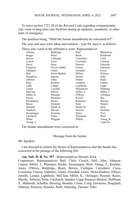To enact section 3721.20 of the Revised Code regarding compassionate care visits in long-term care facilities during an epidemic, pandemic, or other state of emergency.

The question being, "Shall the Senate amendments be concurred in?" The yeas and nays were taken and resulted – yeas 94, nays 0, as follows: Those who voted in the affirmative were: Representatives

| Abrams          | Baldridge      | Bird       | Blackshear      |
|-----------------|----------------|------------|-----------------|
| <b>Boggs</b>    | Boyd           | Brent      | <b>Brinkman</b> |
| <b>Brown</b>    | Callender      | Carruthers | Click           |
| Creech          | Cross          | Crossman   | Cutrona         |
| Davis           | Dean           | Denson     | Edwards         |
| Ferguson        | Fowler Arthur  | Fraizer    | Galonski        |
| Ghanbari        | Ginter         | Grendell   | Gross           |
| Hall            | Hicks-Hudson   | Hillyer    | Holmes          |
| Humphrey        | Ingram         | Jarrells   | John            |
| Johnson         | Jones          | Jordan     | Kelly           |
| Kick            | Koehler        | Lampton    | Lanese          |
| LaRe            | Leland         | Lightbody  | Lipps           |
| Liston          | Loychik        | Manchester | Manning         |
| McClain         | Merrin         | Miller, A. | Miller, J.      |
| Miller, K.      | Miranda        | O'Brien    | Oelslager       |
| Patton          | Plummer        | Powell     | Ray             |
| Richardson      | Riedel         | Robinson   | Roemer          |
| Russo           | Schmidt        | Seitz      | Sheehy          |
| Skindell        | Smith, K.      | Smith, M.  | Stein           |
| <b>Stephens</b> | <b>Stevens</b> | Stewart    | Stoltzfus       |
| Swearingen      | Sweeney        | Sykes      | Troy            |
| Upchurch        | Vitale         | Weinstein  | West            |
| White           | Wiggam         | Wilkin     | Young, B.       |
| Young, T.       |                |            | Cupp-94         |

The Senate amendments were concurred in.

Message from the Senate

Mr. Speaker:

I am directed to inform the House of Representatives that the Senate has concurred in the passage of the following bill:

## **Am. Sub. H. B. No. 397** - Representatives Stewart, Kick

Cosponsors: Representatives Bird, Click, Creech, Hall, John, Johnson, Lanese, Miller, J., Plummer, Riedel, Swearingen, West, Young, T., Koehler, Jones, O'Brien, Baldridge, Brent, Brown, Carfagna, Carruthers, Cross, Crossman, Fraizer, Galonski, Ginter, Grendell, Gross, Hicks-Hudson, Hillyer, Jarrells, Leland, Lightbody, McClain, Miller, K., Oelslager, Roemer, Russo, Sheehy, Sobecki, Stein, Upchurch, Speaker Cupp Senators Hackett, Huffman, S., Maharath, Schaffer, Blessing, Brenner, Cirino, Craig, Gavarone, Hoagland, Johnson, Peterson, Reineke, Rulli, Schuring, Thomas, Yuko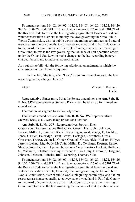To amend sections 164.02, 164.05, 164.06, 164.08, 164.20, 164.22, 164.26, 940.05, 1509.28, and 3781.1011 and to enact sections 126.62 and 5301.71 of the Revised Code to revise the law regarding agricultural leases and soil and water conservation districts; to modify the laws governing the Ohio Public Works Commission, district public works integrating committees, and natural resources assistance councils; to convey state-owned land in Fairfield County to the board of commissioners of Fairfield County; to create the Investing in Ohio Fund; to revise the law governing the issuance of unit operation orders under the Oil and Gas Law; to make changes to the law regarding batterycharged fences; and to make an appropriation.

As a substitute bill with the following additional amendment, in which the concurrence of the House is requested.

In line 14 of the title, after "Law;" insert "to make changes to the law regarding battery-charged fences;"

Attest: Vincent L. Keeran, Clerk.

Representative Ginter moved that the Senate amendments to **Am. Sub. H. B. No. 397-**Representatives Stewart, Kick, et al., be taken up for immediate consideration.

The motion was agreed to without objection.

The Senate amendments to **Am. Sub. H. B. No. 397**-Representatives Stewart, Kick, et al., were taken up for consideration.

**Am. Sub. H. B. No. 397 -** Representatives Stewart, Kick. Cosponsors: Representatives Bird, Click, Creech, Hall, John, Johnson, Lanese, Miller, J., Plummer, Riedel, Swearingen, West, Young, T., Koehler, Jones, O'Brien, Baldridge, Brent, Brown, Carfagna, Carruthers, Cross, Crossman, Fraizer, Galonski, Ginter, Grendell, Gross, Hicks-Hudson, Hillyer, Jarrells, Leland, Lightbody, McClain, Miller, K., Oelslager, Roemer, Russo, Sheehy, Sobecki, Stein, Upchurch, Speaker Cupp Senators Hackett, Huffman, S., Maharath, Schaffer, Blessing, Brenner, Cirino, Craig, Gavarone, Hoagland, Johnson, Peterson, Reineke, Rulli, Schuring, Thomas, Yuko.

To amend sections 164.02, 164.05, 164.06, 164.08, 164.20, 164.22, 164.26, 940.05, 1509.28, and 3781.1011 and to enact sections 126.62 and 5301.71 of the Revised Code to revise the law regarding agricultural leases and soil and water conservation districts; to modify the laws governing the Ohio Public Works Commission, district public works integrating committees, and natural resources assistance councils; to convey state-owned land in Fairfield County to the board of commissioners of Fairfield County; to create the Investing in Ohio Fund; to revise the law governing the issuance of unit operation orders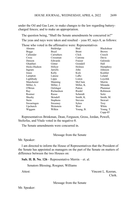under the Oil and Gas Law; to make changes to the law regarding batterycharged fences; and to make an appropriation.

The question being, "Shall the Senate amendments be concurred in?" The yeas and nays were taken and resulted – yeas 85, nays 8, as follows: Those who voted in the affirmative were: Representatives

|              |                 | rose who voice in the annihilative were, respresentatives |                |
|--------------|-----------------|-----------------------------------------------------------|----------------|
| Abrams       | Baldridge       | Bird                                                      | Blackshear     |
| <b>Boggs</b> | Boyd            | <b>Brent</b>                                              | <b>Brown</b>   |
| Callender    | Carruthers      | Click                                                     | Creech         |
| Cross        | Crossman        | Cutrona                                                   | Davis          |
| Denson       | Edwards         | Fraizer                                                   | Galonski       |
| Ghanbari     | Ginter          | Grendell                                                  | Hall           |
| Hicks-Hudson | Hillyer         | Holmes                                                    | Humphrey       |
| Ingram       | Jarrells        | John                                                      | Johnson        |
| Jones        | Kelly           | Kick                                                      | Koehler        |
| Lampton      | Lanese          | LaRe                                                      | Leland         |
| Lightbody    | Lipps           | Liston                                                    | Lovchik        |
| Manchester   | Manning         | McClain                                                   | Merrin         |
| Miller, A.   | Miller, J.      | Miller, K.                                                | Miranda        |
| O'Brien      | Oelslager       | Patton                                                    | Plummer        |
| Ray          | Richardson      | Riedel                                                    | Robinson       |
| Roemer       | Russo           | Schmidt                                                   | Seitz          |
| Sheehy       | Skindell        | Smith, K.                                                 | Smith, M.      |
| Stein        | <b>Stephens</b> | <b>Stevens</b>                                            | <b>Stewart</b> |
| Swearingen   | Sweeney         | Sykes                                                     | Troy           |
| Upchurch     | Weinstein       | West                                                      | White          |
| Wiggam       | Wilkin          | Young, B.                                                 | Young, T.      |
|              |                 |                                                           | Cupp-85        |

Representatives Brinkman, Dean, Ferguson, Gross, Jordan, Powell, Stoltzfus, and Vitale voted in the negative-8.

The Senate amendments were concurred in.

Message from the Senate

Mr. Speaker:

I am directed to inform the House of Representatives that the President of the Senate has appointed as managers on the part of the Senate on matters of difference between the two Houses on:

**Sub. H. B. No. 126** - Representative Merrin – et. al.

Senators Blessing, Roegner, Williams

Attest: Vincent L. Keeran, Clerk.

Message from the Senate

Mr. Speaker: